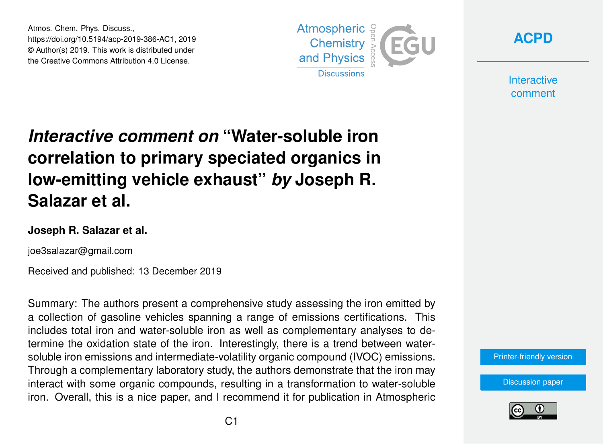Atmos. Chem. Phys. Discuss., https://doi.org/10.5194/acp-2019-386-AC1, 2019 © Author(s) 2019. This work is distributed under the Creative Commons Attribution 4.0 License.





**Interactive** comment

# *Interactive comment on* **"Water-soluble iron correlation to primary speciated organics in low-emitting vehicle exhaust"** *by* **Joseph R. Salazar et al.**

### **Joseph R. Salazar et al.**

joe3salazar@gmail.com

Received and published: 13 December 2019

Summary: The authors present a comprehensive study assessing the iron emitted by a collection of gasoline vehicles spanning a range of emissions certifications. This includes total iron and water-soluble iron as well as complementary analyses to determine the oxidation state of the iron. Interestingly, there is a trend between watersoluble iron emissions and intermediate-volatility organic compound (IVOC) emissions. Through a complementary laboratory study, the authors demonstrate that the iron may interact with some organic compounds, resulting in a transformation to water-soluble iron. Overall, this is a nice paper, and I recommend it for publication in Atmospheric

#### [Printer-friendly version](https://www.atmos-chem-phys-discuss.net/acp-2019-386/acp-2019-386-AC1-print.pdf)

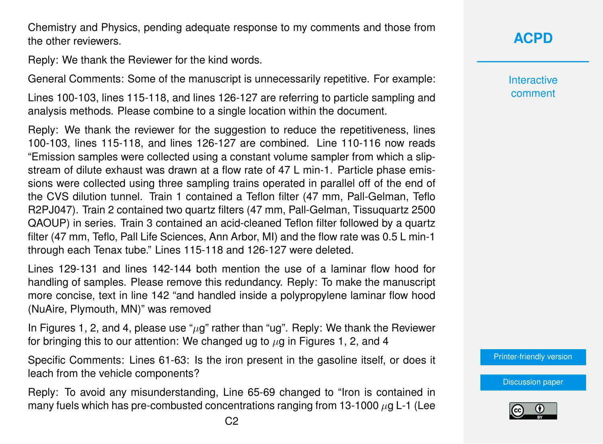Chemistry and Physics, pending adequate response to my comments and those from the other reviewers.

Reply: We thank the Reviewer for the kind words.

General Comments: Some of the manuscript is unnecessarily repetitive. For example:

Lines 100-103, lines 115-118, and lines 126-127 are referring to particle sampling and analysis methods. Please combine to a single location within the document.

Reply: We thank the reviewer for the suggestion to reduce the repetitiveness, lines 100-103, lines 115-118, and lines 126-127 are combined. Line 110-116 now reads "Emission samples were collected using a constant volume sampler from which a slipstream of dilute exhaust was drawn at a flow rate of 47 L min-1. Particle phase emissions were collected using three sampling trains operated in parallel off of the end of the CVS dilution tunnel. Train 1 contained a Teflon filter (47 mm, Pall-Gelman, Teflo R2PJ047). Train 2 contained two quartz filters (47 mm, Pall-Gelman, Tissuquartz 2500 QAOUP) in series. Train 3 contained an acid-cleaned Teflon filter followed by a quartz filter (47 mm, Teflo, Pall Life Sciences, Ann Arbor, MI) and the flow rate was 0.5 L min-1 through each Tenax tube." Lines 115-118 and 126-127 were deleted.

Lines 129-131 and lines 142-144 both mention the use of a laminar flow hood for handling of samples. Please remove this redundancy. Reply: To make the manuscript more concise, text in line 142 "and handled inside a polypropylene laminar flow hood (NuAire, Plymouth, MN)" was removed

In Figures 1, 2, and 4, please use " $\mu$ g" rather than "ug". Reply: We thank the Reviewer for bringing this to our attention: We changed ug to  $\mu$ g in Figures 1, 2, and 4

Specific Comments: Lines 61-63: Is the iron present in the gasoline itself, or does it leach from the vehicle components?

Reply: To avoid any misunderstanding, Line 65-69 changed to "Iron is contained in many fuels which has pre-combusted concentrations ranging from 13-1000  $\mu$ g L-1 (Lee **Interactive** comment

[Printer-friendly version](https://www.atmos-chem-phys-discuss.net/acp-2019-386/acp-2019-386-AC1-print.pdf)

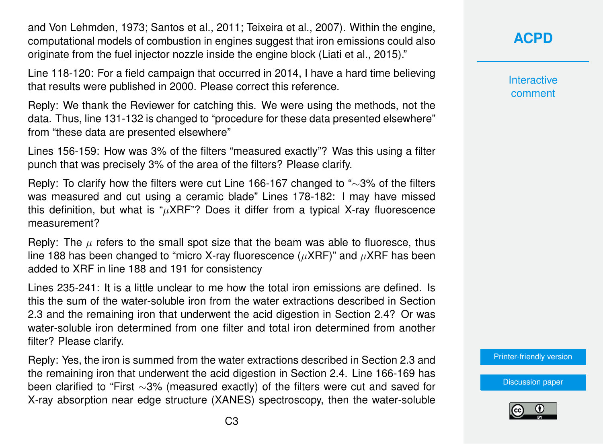and Von Lehmden, 1973; Santos et al., 2011; Teixeira et al., 2007). Within the engine, computational models of combustion in engines suggest that iron emissions could also originate from the fuel injector nozzle inside the engine block (Liati et al., 2015)."

Line 118-120: For a field campaign that occurred in 2014, I have a hard time believing that results were published in 2000. Please correct this reference.

Reply: We thank the Reviewer for catching this. We were using the methods, not the data. Thus, line 131-132 is changed to "procedure for these data presented elsewhere" from "these data are presented elsewhere"

Lines 156-159: How was 3% of the filters "measured exactly"? Was this using a filter punch that was precisely 3% of the area of the filters? Please clarify.

Reply: To clarify how the filters were cut Line 166-167 changed to "∼3% of the filters was measured and cut using a ceramic blade" Lines 178-182: I may have missed this definition, but what is " $\mu$ XRF"? Does it differ from a typical X-ray fluorescence measurement?

Reply: The  $\mu$  refers to the small spot size that the beam was able to fluoresce, thus line 188 has been changed to "micro X-ray fluorescence ( $\mu$ XRF)" and  $\mu$ XRF has been added to XRF in line 188 and 191 for consistency

Lines 235-241: It is a little unclear to me how the total iron emissions are defined. Is this the sum of the water-soluble iron from the water extractions described in Section 2.3 and the remaining iron that underwent the acid digestion in Section 2.4? Or was water-soluble iron determined from one filter and total iron determined from another filter? Please clarify.

Reply: Yes, the iron is summed from the water extractions described in Section 2.3 and the remaining iron that underwent the acid digestion in Section 2.4. Line 166-169 has been clarified to "First ∼3% (measured exactly) of the filters were cut and saved for X-ray absorption near edge structure (XANES) spectroscopy, then the water-soluble **[ACPD](https://www.atmos-chem-phys-discuss.net/)**

**Interactive** comment

[Printer-friendly version](https://www.atmos-chem-phys-discuss.net/acp-2019-386/acp-2019-386-AC1-print.pdf)

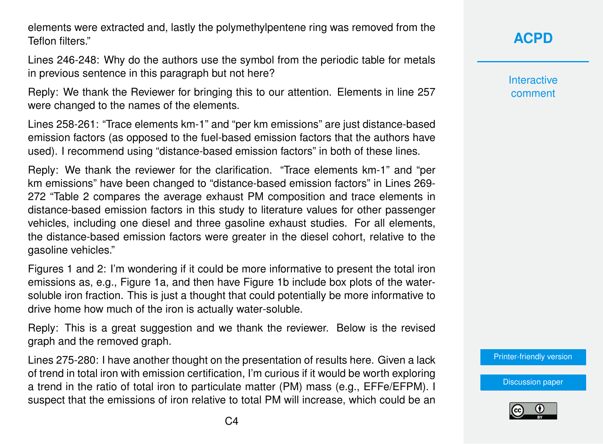elements were extracted and, lastly the polymethylpentene ring was removed from the Teflon filters."

Lines 246-248: Why do the authors use the symbol from the periodic table for metals in previous sentence in this paragraph but not here?

Reply: We thank the Reviewer for bringing this to our attention. Elements in line 257 were changed to the names of the elements.

Lines 258-261: "Trace elements km-1" and "per km emissions" are just distance-based emission factors (as opposed to the fuel-based emission factors that the authors have used). I recommend using "distance-based emission factors" in both of these lines.

Reply: We thank the reviewer for the clarification. "Trace elements km-1" and "per km emissions" have been changed to "distance-based emission factors" in Lines 269- 272 "Table 2 compares the average exhaust PM composition and trace elements in distance-based emission factors in this study to literature values for other passenger vehicles, including one diesel and three gasoline exhaust studies. For all elements, the distance-based emission factors were greater in the diesel cohort, relative to the gasoline vehicles."

Figures 1 and 2: I'm wondering if it could be more informative to present the total iron emissions as, e.g., Figure 1a, and then have Figure 1b include box plots of the watersoluble iron fraction. This is just a thought that could potentially be more informative to drive home how much of the iron is actually water-soluble.

Reply: This is a great suggestion and we thank the reviewer. Below is the revised graph and the removed graph.

Lines 275-280: I have another thought on the presentation of results here. Given a lack of trend in total iron with emission certification, I'm curious if it would be worth exploring a trend in the ratio of total iron to particulate matter (PM) mass (e.g., EFFe/EFPM). I suspect that the emissions of iron relative to total PM will increase, which could be an **Interactive** comment

[Printer-friendly version](https://www.atmos-chem-phys-discuss.net/acp-2019-386/acp-2019-386-AC1-print.pdf)

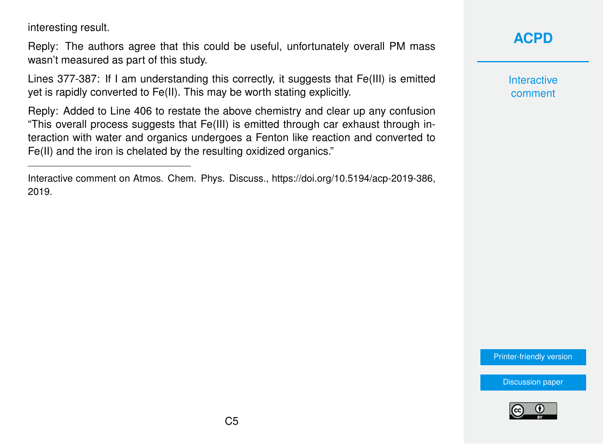interesting result.

Reply: The authors agree that this could be useful, unfortunately overall PM mass wasn't measured as part of this study.

Lines 377-387: If I am understanding this correctly, it suggests that Fe(III) is emitted yet is rapidly converted to Fe(II). This may be worth stating explicitly.

Reply: Added to Line 406 to restate the above chemistry and clear up any confusion "This overall process suggests that Fe(III) is emitted through car exhaust through interaction with water and organics undergoes a Fenton like reaction and converted to Fe(II) and the iron is chelated by the resulting oxidized organics."

## **[ACPD](https://www.atmos-chem-phys-discuss.net/)**

**Interactive** comment

[Printer-friendly version](https://www.atmos-chem-phys-discuss.net/acp-2019-386/acp-2019-386-AC1-print.pdf)



Interactive comment on Atmos. Chem. Phys. Discuss., https://doi.org/10.5194/acp-2019-386, 2019.